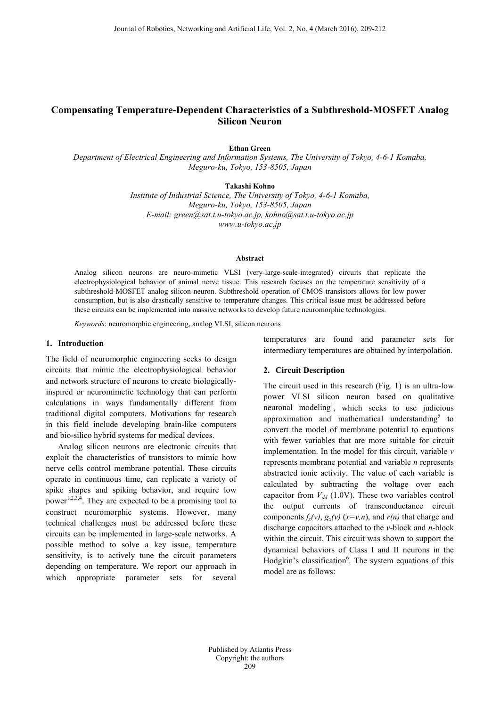# **Compensating Temperature-Dependent Characteristics of a Subthreshold-MOSFET Analog Silicon Neuron**

**Ethan Green**

*Department of Electrical Engineering and Information Systems, The University of Tokyo, 4-6-1 Komaba, Meguro-ku, Tokyo, 153-8505, Japan*

**Takashi Kohno**

*Institute of Industrial Science, The University of Tokyo, 4-6-1 Komaba, Meguro-ku, Tokyo, 153-8505, Japan E-mail: green@sat.t.u-tokyo.ac.jp, kohno@sat.t.u-tokyo.ac.jp www.u-tokyo.ac.jp*

#### **Abstract**

Analog silicon neurons are neuro-mimetic VLSI (very-large-scale-integrated) circuits that replicate the electrophysiological behavior of animal nerve tissue. This research focuses on the temperature sensitivity of a subthreshold-MOSFET analog silicon neuron. Subthreshold operation of CMOS transistors allows for low power consumption, but is also drastically sensitive to temperature changes. This critical issue must be addressed before these circuits can be implemented into massive networks to develop future neuromorphic technologies.

*Keywords*: neuromorphic engineering, analog VLSI, silicon neurons

#### **1. Introduction**

The field of neuromorphic engineering seeks to design circuits that mimic the electrophysiological behavior and network structure of neurons to create biologicallyinspired or neuromimetic technology that can perform calculations in ways fundamentally different from traditional digital computers. Motivations for research in this field include developing brain-like computers and bio-silico hybrid systems for medical devices.

Analog silicon neurons are electronic circuits that exploit the characteristics of transistors to mimic how nerve cells control membrane potential. These circuits operate in continuous time, can replicate a variety of spike shapes and spiking behavior, and require low power<sup>1,2,3,4</sup>. They are expected to be a promising tool to construct neuromorphic systems. However, many technical challenges must be addressed before these circuits can be implemented in large-scale networks. A possible method to solve a key issue, temperature sensitivity, is to actively tune the circuit parameters depending on temperature. We report our approach in which appropriate parameter sets for several

temperatures are found and parameter sets for intermediary temperatures are obtained by interpolation.

#### **2. Circuit Description**

The circuit used in this research (Fig. 1) is an ultra-low power VLSI silicon neuron based on qualitative neuronal modeling<sup>1</sup>, which seeks to use judicious approximation and mathematical understanding<sup>5</sup> to convert the model of membrane potential to equations with fewer variables that are more suitable for circuit implementation. In the model for this circuit, variable *v* represents membrane potential and variable *n* represents abstracted ionic activity. The value of each variable is calculated by subtracting the voltage over each capacitor from  $V_{dd}$  (1.0V). These two variables control the output currents of transconductance circuit components  $f_x(v)$ ,  $g_x(v)$  ( $x=v,n$ ), and  $r(n)$  that charge and discharge capacitors attached to the *v*-block and *n*-block within the circuit. This circuit was shown to support the dynamical behaviors of Class I and II neurons in the Hodgkin's classification<sup>6</sup>. The system equations of this model are as follows: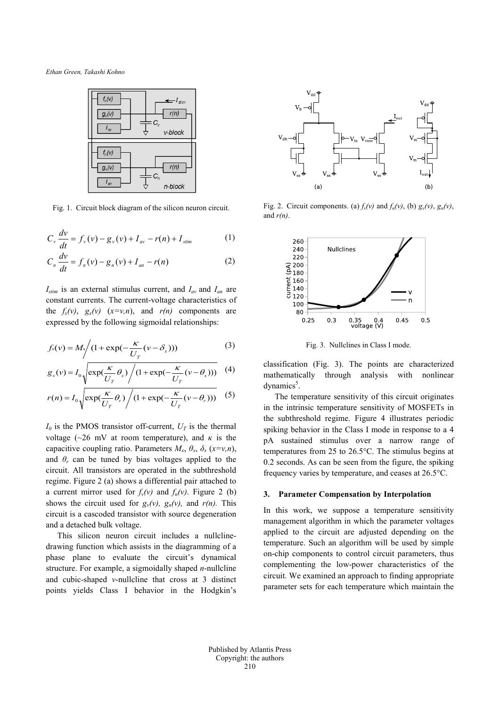

Fig. 1. Circuit block diagram of the silicon neuron circuit.

$$
C_{\nu} \frac{dv}{dt} = f_{\nu}(v) - g_{\nu}(v) + I_{av} - r(n) + I_{\text{stim}} \tag{1}
$$

$$
C_n \frac{dv}{dt} = f_n(v) - g_n(v) + I_{an} - r(n)
$$
 (2)

*Istim* is an external stimulus current, and *Iav* and *Ian* are constant currents. The current-voltage characteristics of the  $f_x(v)$ ,  $g_x(v)$   $(x=v,n)$ , and  $r(n)$  components are expressed by the following sigmoidal relationships:

$$
f_x(v) = M_x \bigg/ (1 + \exp(-\frac{\kappa}{U_T}(v - \delta_x))) \tag{3}
$$

$$
g_x(v) = I_0 \sqrt{\exp(\frac{\kappa}{U_T} \theta_x)} \left(1 + \exp(-\frac{\kappa}{U_T} (v - \theta_x)))\right)
$$
 (4)

$$
r(n) = I_0 \sqrt{\exp(\frac{\kappa}{U_T} \theta_r) / (1 + \exp(-\frac{\kappa}{U_T} (\nu - \theta_r)))}
$$
 (5)

 $I_0$  is the PMOS transistor off-current,  $U_T$  is the thermal voltage ( $\sim$ 26 mV at room temperature), and  $\kappa$  is the capacitive coupling ratio. Parameters  $M_x$ ,  $\theta_x$ ,  $\delta_x$  ( $x=v,n$ ), and  $\theta_r$  can be tuned by bias voltages applied to the circuit. All transistors are operated in the subthreshold regime. Figure 2 (a) shows a differential pair attached to a current mirror used for  $f_v(v)$  and  $f_n(v)$ . Figure 2 (b) shows the circuit used for  $g_v(v)$ ,  $g_n(v)$ , and  $r(n)$ . This circuit is a cascoded transistor with source degeneration and a detached bulk voltage.

This silicon neuron circuit includes a nullclinedrawing function which assists in the diagramming of a phase plane to evaluate the circuit's dynamical structure. For example, a sigmoidally shaped *n*-nullcline and cubic-shaped *v*-nullcline that cross at 3 distinct points yields Class I behavior in the Hodgkin's



Fig. 2. Circuit components. (a)  $f_v(v)$  and  $f_n(v)$ , (b)  $g_v(v)$ ,  $g_n(v)$ , and  $r(n)$ .



Fig. 3. Nullclines in Class I mode.

classification (Fig. 3). The points are characterized mathematically through analysis with nonlinear dynamics<sup>5</sup>.

The temperature sensitivity of this circuit originates in the intrinsic temperature sensitivity of MOSFETs in the subthreshold regime. Figure 4 illustrates periodic spiking behavior in the Class I mode in response to a 4 pA sustained stimulus over a narrow range of temperatures from 25 to 26.5°C. The stimulus begins at 0.2 seconds. As can be seen from the figure, the spiking frequency varies by temperature, and ceases at 26.5°C.

#### **3. Parameter Compensation by Interpolation**

In this work, we suppose a temperature sensitivity management algorithm in which the parameter voltages applied to the circuit are adjusted depending on the temperature. Such an algorithm will be used by simple on-chip components to control circuit parameters, thus complementing the low-power characteristics of the circuit. We examined an approach to finding appropriate parameter sets for each temperature which maintain the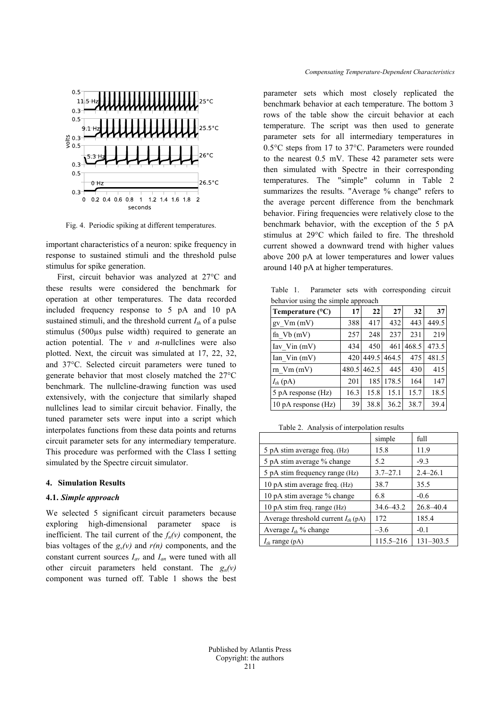

Fig. 4. Periodic spiking at different temperatures.

important characteristics of a neuron: spike frequency in response to sustained stimuli and the threshold pulse stimulus for spike generation.

First, circuit behavior was analyzed at 27°C and these results were considered the benchmark for operation at other temperatures. The data recorded included frequency response to 5 pA and 10 pA sustained stimuli, and the threshold current  $I_{th}$  of a pulse stimulus (500µs pulse width) required to generate an action potential. The *v* and *n*-nullclines were also plotted. Next, the circuit was simulated at 17, 22, 32, and 37°C. Selected circuit parameters were tuned to generate behavior that most closely matched the 27°C benchmark. The nullcline-drawing function was used extensively, with the conjecture that similarly shaped nullclines lead to similar circuit behavior. Finally, the tuned parameter sets were input into a script which interpolates functions from these data points and returns circuit parameter sets for any intermediary temperature. This procedure was performed with the Class I setting simulated by the Spectre circuit simulator.

#### **4. Simulation Results**

#### **4.1.** *Simple approach*

We selected 5 significant circuit parameters because exploring high-dimensional parameter space is inefficient. The tail current of the  $f_n(v)$  component, the bias voltages of the  $g_v(v)$  and  $r(n)$  components, and the constant current sources  $I_{av}$  and  $I_{an}$  were tuned with all other circuit parameters held constant. The  $g_n(v)$ component was turned off. Table 1 shows the best parameter sets which most closely replicated the benchmark behavior at each temperature. The bottom 3 rows of the table show the circuit behavior at each temperature. The script was then used to generate parameter sets for all intermediary temperatures in 0.5°C steps from 17 to 37°C. Parameters were rounded to the nearest 0.5 mV. These 42 parameter sets were then simulated with Spectre in their corresponding temperatures. The "simple" column in Table 2 summarizes the results. "Average % change" refers to the average percent difference from the benchmark behavior. Firing frequencies were relatively close to the benchmark behavior, with the exception of the 5 pA stimulus at 29°C which failed to fire. The threshold current showed a downward trend with higher values above 200 pA at lower temperatures and lower values around 140 pA at higher temperatures.

Table 1. Parameter sets with corresponding circuit behavior using the simple approach

| Temperature $(^{\circ}C)$ | 17    | 22    | 27    | 32    | 37    |
|---------------------------|-------|-------|-------|-------|-------|
| gv Vm (mV)                | 388   | 417   | 432   | 443   | 449.5 |
| fn $Vb$ (mV)              | 257   | 248   | 237   | 231   | 219   |
| Iav Vin (mV)              | 434   | 450   | 461   | 468.5 | 473.5 |
| Ian $V$ in $(mV)$         | 420   | 449.5 | 464.5 | 475   | 481.5 |
| $rn$ Vm $(mV)$            | 480.5 | 462.5 | 445   | 430   | 415   |
| $I_{th}$ (pA)             | 201   | 185   | 178.5 | 164   | 147   |
| 5 pA response (Hz)        | 16.3  | 15.8  | 15.1  | 15.7  | 18.5  |
| 10 pA response (Hz)       | 39    | 38.8  | 36.2  | 38.7  | 39.4  |

Table 2. Analysis of interpolation results

|                                         | simple        | full          |  |
|-----------------------------------------|---------------|---------------|--|
| 5 pA stim average freq. (Hz)            | 15.8          | 11.9          |  |
| 5 pA stim average % change              | 5.2           | $-9.3$        |  |
| 5 pA stim frequency range (Hz)          | $3.7 - 27.1$  | $2.4 - 26.1$  |  |
| 10 pA stim average freq. (Hz)           | 38.7          | 35.5          |  |
| 10 pA stim average % change             | 6.8           | $-0.6$        |  |
| 10 pA stim freq. range (Hz)             | $34.6 - 43.2$ | $26.8 - 40.4$ |  |
| Average threshold current $I_{th}$ (pA) | 172           | 185.4         |  |
| Average $I_{th}$ % change               | $-3.6$        | $-0.1$        |  |
| $I_{th}$ range (pA)                     | $115.5 - 216$ | $131 - 303.5$ |  |